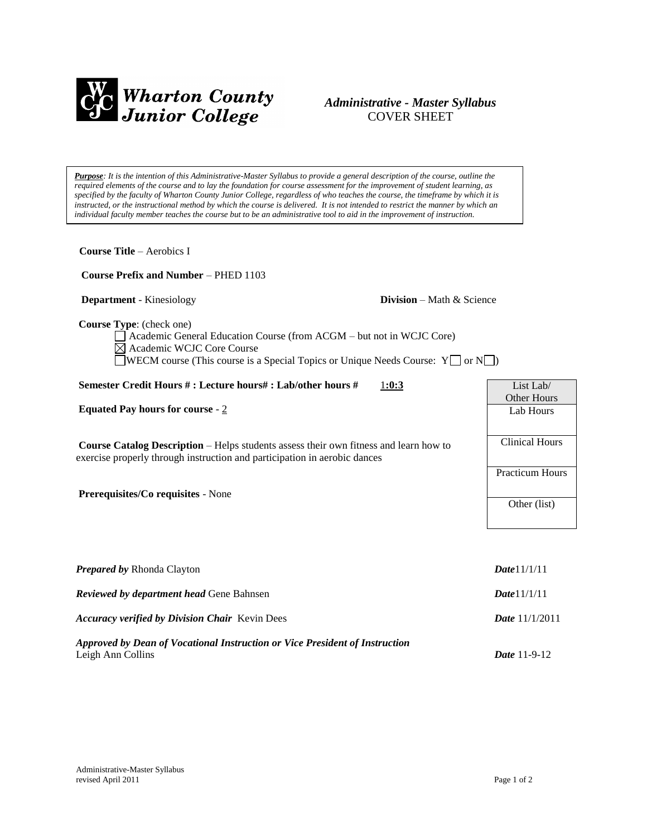

## *Administrative - Master Syllabus*  COVER SHEET

*Purpose: It is the intention of this Administrative-Master Syllabus to provide a general description of the course, outline the required elements of the course and to lay the foundation for course assessment for the improvement of student learning, as specified by the faculty of Wharton County Junior College, regardless of who teaches the course, the timeframe by which it is instructed, or the instructional method by which the course is delivered. It is not intended to restrict the manner by which an individual faculty member teaches the course but to be an administrative tool to aid in the improvement of instruction.*

| <b>Course Title - Aerobics I</b>                                                                                                                                                                                                                |                                     |
|-------------------------------------------------------------------------------------------------------------------------------------------------------------------------------------------------------------------------------------------------|-------------------------------------|
| Course Prefix and Number - PHED 1103                                                                                                                                                                                                            |                                     |
| <b>Department</b> - Kinesiology                                                                                                                                                                                                                 | <b>Division</b> – Math $\&$ Science |
| Course Type: (check one)<br>Academic General Education Course (from ACGM – but not in WCJC Core)<br>$\boxtimes$ Academic WCJC Core Course<br><b>WECM</b> course (This course is a Special Topics or Unique Needs Course: $Y \Box$ or $N \Box$ ) |                                     |
| Semester Credit Hours #: Lecture hours#: Lab/other hours #                                                                                                                                                                                      | 1:0:3<br>List Lab/                  |
| Equated Pay hours for course - $2$                                                                                                                                                                                                              | Other Hours<br>Lab Hours            |
| Course Catalog Description - Helps students assess their own fitness and learn how to<br>exercise properly through instruction and participation in aerobic dances                                                                              | <b>Clinical Hours</b>               |
|                                                                                                                                                                                                                                                 | <b>Practicum Hours</b>              |
| Prerequisites/Co requisites - None                                                                                                                                                                                                              | Other (list)                        |
| Prepared by Rhonda Clayton                                                                                                                                                                                                                      | Date 11/1/11                        |
| Reviewed by department head Gene Bahnsen                                                                                                                                                                                                        | Date 11/1/11                        |
| <b>Accuracy verified by Division Chair Kevin Dees</b>                                                                                                                                                                                           | Date 11/1/2011                      |
| Approved by Dean of Vocational Instruction or Vice President of Instruction<br>Leigh Ann Collins                                                                                                                                                | Date 11-9-12                        |